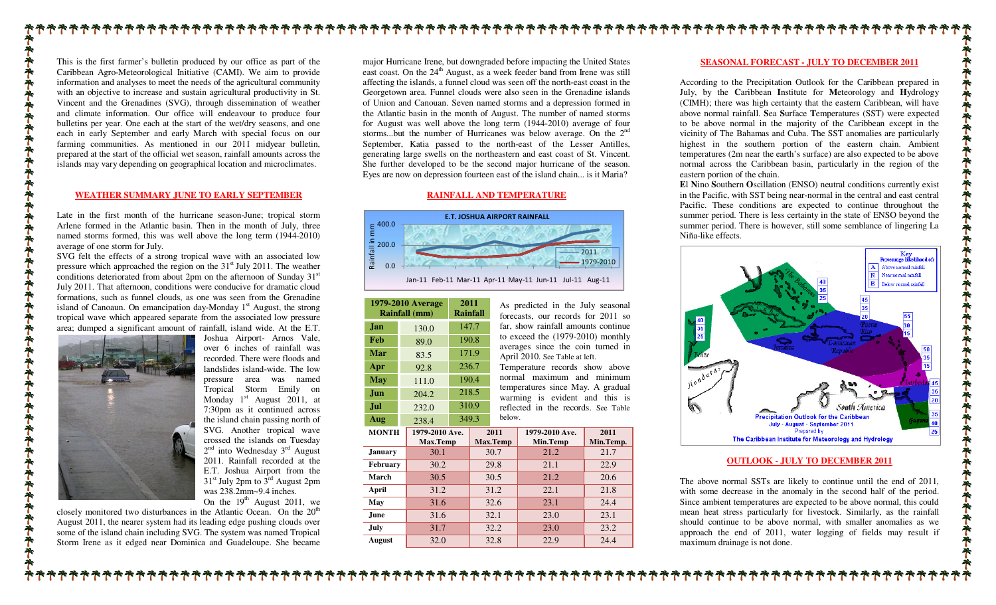This is the first farmer's bulletin produced by our office as part of the Caribbean Agro-Meteorological Initiative (CAMI). We aim to provide information and analyses to meet the needs of the agricultural community with an objective to increase and sustain agricultural productivity in St. Vincent and the Grenadines (SVG), through dissemination of weather and climate information. Our office will endeavour to produce four bulletins per year. One each at the start of the wet/dry seasons, and one each in early September and early March with special focus on our farming communities. As mentioned in our 2011 midyear bulletin, prepared at the start of the official wet season, rainfall amounts across the islands may vary depending on geographical location and microclimates.

#### **WEATHER SUMMARY JUNE TO EARLY SEPTEMBER**

Late in the first month of the hurricane season-June; tropical storm Arlene formed in the Atlantic basin. Then in the month of July, three named storms formed, this was well above the long term (1944-2010) average of one storm for July.

 SVG felt the effects of a strong tropical wave with an associated low pressure which approached the region on the 31<sup>st</sup> July 2011. The weather conditions deteriorated from about 2pm on the afternoon of Sunday  $31<sup>st</sup>$ July 2011. That afternoon, conditions were conducive for dramatic cloud formations, such as funnel clouds, as one was seen from the Grenadine island of Canoaun. On emancipation day-Monday  $1<sup>st</sup>$  August, the strong tropical wave which appeared separate from the associated low pressure area; dumped a significant amount of rainfall, island wide. At the E.T.



**オキキキキキキキキキキ** 

**でややややややややややややややややややややややややややで** 

 Joshua Airport- Arnos Vale, over 6 inches of rainfall was recorded. There were floods and landslides island-wide. The low pressure area was named Tropical Storm Emily on Monday  $1<sup>st</sup>$  August 2011, at 7:30pm as it continued across the island chain passing north of SVG. Another tropical wave crossed the islands on Tuesday  $2^{nd}$  into Wednesday  $3^{rd}$  August 2011. Rainfall recorded at the E.T. Joshua Airport from the 31<sup>st</sup> July 2pm to 3<sup>rd</sup> August 2pm was 238.2mm~9.4 inches. On the  $19<sup>th</sup>$  August 2011, we

closely monitored two disturbances in the Atlantic Ocean. On the 20<sup>th</sup> August 2011, the nearer system had its leading edge pushing clouds over some of the island chain including SVG. The system was named Tropical Storm Irene as it edged near Dominica and Guadeloupe. She became major Hurricane Irene, but downgraded before impacting the United States east coast. On the 24<sup>th</sup> August, as a week feeder band from Irene was still affecting the islands, a funnel cloud was seen off the north-east coast in the Georgetown area. Funnel clouds were also seen in the Grenadine islands of Union and Canouan. Seven named storms and a depression formed in the Atlantic basin in the month of August. The number of named storms for August was well above the long term (1944-2010) average of four storms...but the number of Hurricanes was below average. On the  $2<sup>nd</sup>$ September, Katia passed to the north-east of the Lesser Antilles, generating large swells on the northeastern and east coast of St. Vincent. She further developed to be the second major hurricane of the season. Eyes are now on depression fourteen east of the island chain... is it Maria?

### **RAINFALL AND TEMPERATURE**



Jan-11 Feb-11 Mar-11 Apr-11 May-11 Jun-11 Jul-11 Aug-11

| 1979-2010 Average<br>Rainfall (mm) |                            | 2011<br><b>Rainfall</b> |       | As pre<br>forecas |  |
|------------------------------------|----------------------------|-------------------------|-------|-------------------|--|
| Jan                                | 130.0                      |                         | 147.7 | far, sh           |  |
| Feb                                | 89.0                       | 190.8                   |       | to exce           |  |
| Mar                                | 83.5                       | 171.9                   |       | averag<br>April 2 |  |
| Apr                                | 92.8                       | 236.7                   |       | Tempe             |  |
| <b>May</b>                         | 111.0                      | 190.4                   |       | normal            |  |
| Jun                                | 204.2                      |                         | 218.5 | temper<br>warmi   |  |
| Jul                                | 232.0                      | 310.9                   |       | reflect           |  |
| Aug                                | 238.4                      | 349.3                   |       | below.            |  |
| <b>MONTH</b>                       | 1979-2010 Ave.<br>Max.Temp |                         |       | 2011<br>Max.Temp  |  |
| <b>January</b>                     | 30.1                       |                         | 30.7  |                   |  |
| February                           | 30.2                       |                         |       | 29.8              |  |
| March                              | 30.5                       |                         |       | 30.5              |  |
| April                              | 31.2                       |                         |       | 31.2              |  |
| May                                | 31.6                       |                         |       | 32.6              |  |
| June.                              | 31.6                       |                         |       | 32.1              |  |
| July                               | 31.7                       |                         | 32.2  |                   |  |

edicted in the July seasonal forecasts, our records for 2011 so far, show rainfall amounts continue to exceed the (1979-2010) monthly averages since the coin turned in 2010. See Table at left. Temperature records show above

 normal maximum and minimum temperatures since May. A gradual warming is evident and this is reflected in the records. See Table

| <b>MONTH</b> | 1979-2010 Ave.<br>Max.Temp | 2011<br>Max.Temp | 1979-2010 Ave.<br>Min.Temp | 2011<br>Min.Temp. |
|--------------|----------------------------|------------------|----------------------------|-------------------|
| January      | 30.1                       | 30.7             | 21.2                       | 21.7              |
| Februarv     | 30.2                       | 29.8             | 21.1                       | 22.9              |
| March        | 30.5                       | 30.5             | 21.2                       | 20.6              |
| April        | 31.2                       | 31.2             | 22.1                       | 21.8              |
| May          | 31.6                       | 32.6             | 23.1                       | 24.4              |
| June         | 31.6                       | 32.1             | 23.0                       | 23.1              |
| July         | 31.7                       | 32.2             | 23.0                       | 23.2              |

**August** 32.0 32.8 22.9 24.4

# **SEASONAL FORECAST - JULY TO DECEMBER 2011**

According to the Precipitation Outlook for the Caribbean prepared in July, by the **C**aribbean **I**nstitute for **M**eteorology and **H**ydrology (CIMH); there was high certainty that the eastern Caribbean, will have above normal rainfall. **S**ea **S**urface **T**emperatures (SST) were expected to be above normal in the majority of the Caribbean except in the vicinity of The Bahamas and Cuba. The SST anomalies are particularly highest in the southern portion of the eastern chain. Ambient temperatures (2m near the earth's surface) are also expected to be above normal across the Caribbean basin, particularly in the region of the eastern portion of the chain.

 **E**l **N**ino **S**outhern **O**scillation (ENSO) neutral conditions currently exist in the Pacific, with SST being near-normal in the central and east central Pacific. These conditions are expected to continue throughout the summer period. There is less certainty in the state of ENSO beyond the summer period. There is however, still some semblance of lingering La Niña-like effects.



## **OUTLOOK - JULY TO DECEMBER 2011**

The above normal SSTs are likely to continue until the end of 2011, with some decrease in the anomaly in the second half of the period. Since ambient temperatures are expected to be above normal, this could mean heat stress particularly for livestock. Similarly, as the rainfall should continue to be above normal, with smaller anomalies as we approach the end of 2011, water logging of fields may result if maximum drainage is not done.